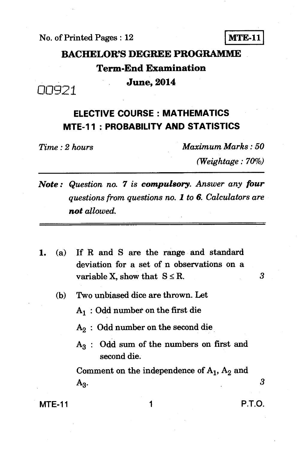**No. of Printed Pages : 12 MTE-11** 

# **BACHELOR'S DEGREE PROGRAMME Term-End Examination June, 2014**

### **ELECTIVE COURSE : MATHEMATICS MTE-11 : PROBABILITY AND STATISTICS**

*Time : 2 hours Maximum Marks : 50* 

*(Weightage : 70%)* 

- *Note : Question no. 7 is compulsory. Answer any four questions from questions no. 1 to 6. Calculators are not allowed.*
- *1.* **(a) If R and S are the range and standard deviation for a set of n observations on a**  variable X, show that  $S \leq R$ .
	- **(b) Two unbiased dice are thrown. Let** 
		- **Al: Odd number on the first die**
		- **A2: Odd number on the second die**
		- **A3: Odd sum of the numbers on first and second die.**

Comment on the independence of  $A_1$ ,  $A_2$  and **A3.** *3* 

### **MTE-11** 1 **P.T.O.**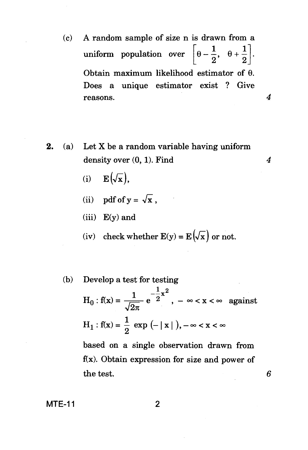- (c) A random sample of size n is drawn from a uniform population over  $\left[\theta-\frac{1}{2}, \theta+\frac{1}{2}\right]$ . Obtain maximum likelihood estimator of  $\theta$ . Does a unique estimator exist ? Give reasons. *4*
- **2.** (a) Let X be a random variable having uniform density over (0, 1). Find *4* 
	- (i)  $\mathbf{E}(\sqrt{\mathbf{x}}),$
	- (ii) pdf of  $y = \sqrt{x}$ ,
	- (iii)  $E(y)$  and
	- (iv) check whether  $E(y) = E(\sqrt{x})$  or not.
	- (b) Develop a test for testing  $H_0: f(x) = \frac{1}{\sqrt{2\pi}} e^{-\frac{1}{2}x^2}, -\infty < x < \infty$  against  $H_1: f(x) = \frac{1}{2} \exp(-|x|), -\infty < x < \infty$ based on a single observation drawn from  $f(x)$ . Obtain expression for size and power of the test.

6

**MTE-11** 2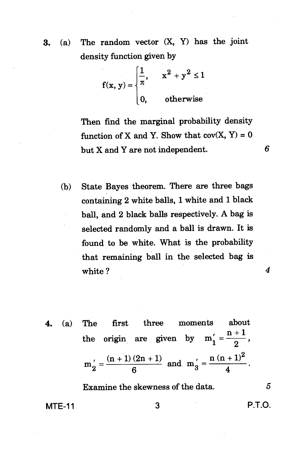3. (a) The random vector (X, Y) has the joint density function given by

$$
f(x, y) = \begin{cases} \frac{1}{\pi}, & x^2 + y^2 \le 1 \\ 0, & \text{otherwise} \end{cases}
$$

Then find the marginal probability density function of X and Y. Show that  $cov(X, Y) = 0$ but X and Y are not independent. *6* 

(b) State Bayes theorem. There are three bags containing 2 white balls, 1 white and 1 black ball, and 2 black balls respectively. A bag is selected randomly and a ball is drawn. It is found to be white. What is the probability that remaining ball in the selected bag is white ? 4

4. (a) The first three moments about  
the origin are given by 
$$
m'_1 = \frac{n+1}{2}
$$
,  
 $m'_2 = \frac{(n+1)(2n+1)}{6}$  and  $m'_3 = \frac{n(n+1)^2}{4}$ .

Examine the skewness of the data. *5* 

**MTE-11** 3 **P.T.O.**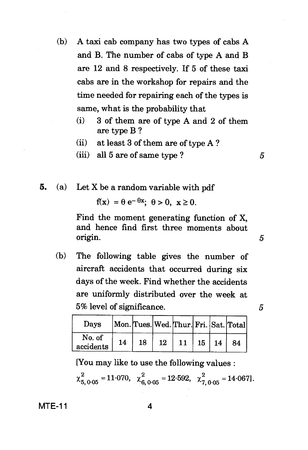- (b) A taxi cab company has two types of cabs A and B. The number of cabs of type A and B are 12 and 8 respectively. If 5 of these taxi cabs are in the workshop for repairs and the time needed for repairing each of the types is same, what is the probability that
	- (i) 3 of them are of type A and 2 of them are type B ?
	- (ii) at least 3 of them are of type A ?
	- (iii) all  $5$  are of same type ?  $5$
- **5.** (a) Let X be a random variable with pdf

 $f(x) = \theta e^{-\theta x}$ ;  $\theta > 0$ ,  $x \ge 0$ .

Find the moment generating function of X, and hence find first three moments about origin. *5* 

(b) The following table gives the number of aircraft accidents that occurred during six days of the week. Find whether the accidents are uniformly distributed over the week at 5% level of significance. *5* 

| Davs                |    |    |    |    |              | Mon. Tues. Wed. Thur. Fri. Sat. Total |
|---------------------|----|----|----|----|--------------|---------------------------------------|
| No. of<br>accidents | 14 | 18 | 12 | 11 | $15 \mid 14$ | -84                                   |

[You may like to use the following values :

$$
\chi_{5,0.05}^2
$$
 = 11.070,  $\chi_{6,0.05}^2$  = 12.592,  $\chi_{7,0.05}^2$  = 14.067.

**MTE-11** 4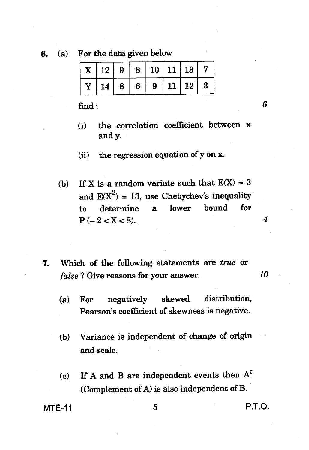**6. (a) For the data given below** 

| $\mid$ X $\mid$ 12 $\mid$ 9 $\mid$ 8 $\mid$ 10 $\mid$ 11 $\mid$ 13 $\mid$ 7       |  |  |  |
|-----------------------------------------------------------------------------------|--|--|--|
| $\mid$ Y $\mid$ 14 $\mid$ 8 $\mid$ 6 $\mid$ 9 $\mid$ 11 $\mid$ 12 $\mid$ 3 $\mid$ |  |  |  |

**find :** *6* 

- **(i) the correlation coefficient between x and y.**
- **(ii) the regression equation of y on x.**
- (b) If X is a random variate such that  $E(X) = 3$ and  $E(X^2) = 13$ , use Chebychev's inequality<br>to determine a lower bound for **to determine a lower bound for**   $P(-2 < X < 8)$ . 4
- *7.* **Which of the following statements are** *true* **or**  *false ?* **Give reasons for your answer.** *10* 
	- **(a) For negatively skewed distribution, Pearson's coefficient of skewness is negative.**
	- **(b) Variance is independent of change of origin and scale.**
	- **(c) If A and B are independent events then A' (Complement of A) is also independent of B.**

**MTE-11** 5 **P.T.O.**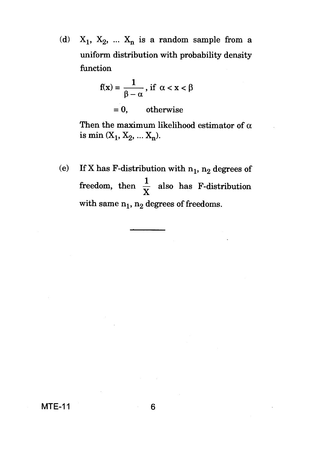(d)  $X_1$ ,  $X_2$ , ...  $X_n$  is a random sample from a uniform distribution with probability density function

$$
f(x) = \frac{1}{\beta - \alpha}, \text{ if } \alpha < x < \beta
$$
\n
$$
= 0, \qquad \text{otherwise}
$$

Then the maximum likelihood estimator of  $\alpha$ is min  $(X_1, X_2, ... X_n)$ .

(e) If X has F-distribution with  $n_1$ ,  $n_2$  degrees of freedom, then  $\frac{1}{x}$  also has F-distribution with same  $n_1$ ,  $n_2$  degrees of freedoms.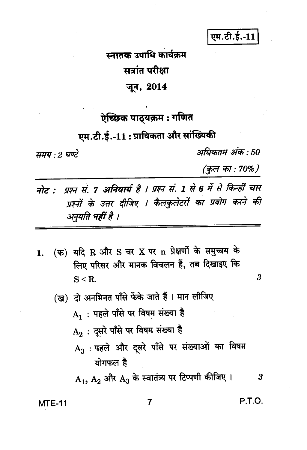एम.टी.ई.-11

## स्नातक उपाधि कार्यक्रम सत्रांत परीक्षा जून, 2014

## ऐच्छिक पाठ्यक्रम : गणित

एम.टी.ई.-11:प्रायिकता और सांख्यिकी

समय : २ घण्टे

अधिकतम अंक : 50

(कुल का : 70%)

प्रश्न सं. 7 अनिवार्य है । प्रश्न सं. 1 से 6 में से किन्हीं चार नोट : प्रश्नों के उत्तर दीजिए । कैलकुलेटरों का प्रयोग करने की अनुमति महीं है ।

- (क) यदि R और S चर X पर n प्रेक्षणों के समुच्चय के  $\mathbf{1}$ . लिए परिसर और मानक विचलन हैं, तब दिखाइए कि  $S \leq R$ .
	- (ख) दो अनभिनत पाँसे फेंके जाते हैं । मान लीजिए
		- ${\bf A_1}$ : पहले पाँसे पर विषम संख्या है
		- A<sub>2</sub>: दसरे पाँसे पर विषम संख्या है
		- A<sub>3</sub>: पहले और दूसरे पाँसे पर संख्याओं का विषम योगफल है

 $\rm A_1,\,A_2$  और  $\rm A_3$  के स्वातंत्र्य पर टिप्पणी कीजिए ।

**MTE-11** 

P.T.O.

 $\boldsymbol{3}$ 

 $\overline{\mathbf{3}}$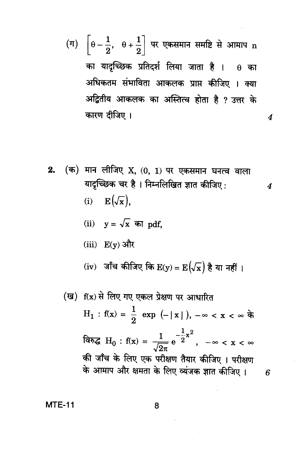(ग)  $\left[\theta-\frac{1}{2}, \theta+\frac{1}{2}\right]$  पर एकसमान समष्टि से आमाप n का यादृच्छिक प्रतिदर्श लिया जाता है ।  $\theta$  का अधिकतम संभाविता आकलक प्राप्त कीजिए । क्या अद्वितीय आकलक का अस्तित्व होता है ? उत्तर के कारण दीजिए।

 $\boldsymbol{4}$ 

6

(i) 
$$
\mathbf{E}(\sqrt{\mathbf{x}}),
$$

(ii) 
$$
y = \sqrt{x}
$$
 and pdf,

(iii) 
$$
E(y)
$$
 और

(iv) जाँच कीजिए कि 
$$
E(y) = E(\sqrt{x})
$$
 है या नहीं |

(ख) f(x) से लिए गए एकल प्रेक्षण पर आधारित  
\nH₁ : f(x) = 
$$
\frac{1}{2}
$$
 exp (−|x|), −∞ < x < ∞ के  
\nविरुद् $H_0$  : f(x) =  $\frac{1}{\sqrt{2\pi}}e^{-\frac{1}{2}x^2}$ , −∞ < x < ∞  
\nकी जाँच के लिए एक परीक्षण तैयार कीजिए । परीक्षण  
\nके आमाप और क्षमता के लिए व्यंजक ज्ञात कीजिए ।

**MTE-11**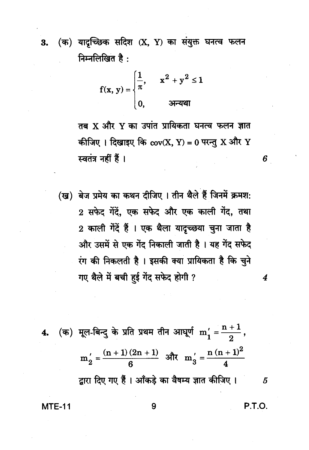(क) यादच्छिक सदिश (X, Y) का संयुक्त घनत्व फलन 3. निम्नलिखित है:

$$
f(x, y) = \begin{cases} \frac{1}{\pi}, & x^2 + y^2 \le 1 \\ 0, & \text{when } x \ne 0 \end{cases}
$$

तब X और Y का उपांत प्रायिकता घनत्व फलन ज्ञात कीजिए। दिखाइए कि  $cov(X, Y) = 0$  परन्तु X और Y स्वतंत्र नहीं हैं।

(ख) बेज प्रमेय का कथन दीजिए । तीन थैले हैं जिनमें क्रमश: 2 सफेद गेंदें, एक सफेद और एक काली गेंद, तथा 2 काली गेंदें हैं । एक थैला यादच्छया चुना जाता है और उसमें से एक गेंद निकाली जाती है। यह गेंद सफेद रंग की निकलती है। इसकी क्या प्रायिकता है कि चुने गए थैले में बची हई गेंद सफेद होगी ?

4. (क) मूल-बिन्दु के प्रति प्रथम तीन आघूर्ण 
$$
m'_1 = \frac{n+1}{2}
$$
,  
\n $m'_2 = \frac{(n+1)(2n+1)}{6}$  और  $m'_3 = \frac{n(n+1)^2}{4}$   
\nद्वारा दिए गए हैं । ऑकड़े का वैषम्य ज्ञात कीजिए ।

P.T.O.

5

6

 $\boldsymbol{4}$ 

**MTE-11**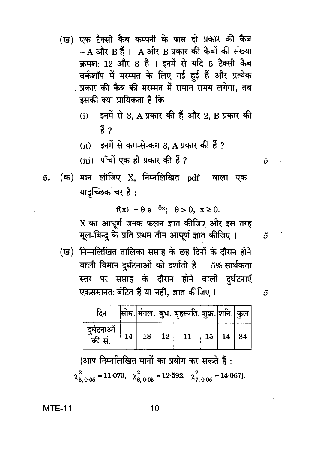- (ख) एक टैक्सी कैब कम्पनी के पास दो प्रकार की कैब - A और B हैं । A और B प्रकार की कैबों की संख्या क्रमश: 12 और 8 हैं । इनमें से यदि 5 टैक्सी कैब वर्कशॉप में मरम्मत के लिए गई हुई हैं और प्रत्येक प्रकार की कैब की मरम्मत में समान समय लगेगा. तब इसकी क्या प्रायिकता है कि
	- इनमें से 3, A प्रकार की हैं और 2, B प्रकार की  $(i)$ ੜੇਂ ?
	- $(ii)$  इनमें से कम-से-कम 3. A प्रकार की हैं ?
	- (iii) पाँचों एक ही प्रकार की हैं ?
- (क) मान लीजिए X, निम्नलिखित <sub>P</sub>df वाला एक 5. यादच्छिक चर है:

 $f(x) = \theta e^{-\theta x}$ ;  $\theta > 0$ ,  $x \ge 0$ .

X का आघूर्ण जनक फलन ज्ञात कीजिए और इस तरह मूल-बिन्द के प्रति प्रथम तीन आघूर्ण ज्ञात कीजिए।

(ख) निम्नलिखित तालिका सप्ताह के छह दिनों के दौरान होने वाली विमान दुर्घटनाओं को दर्शाती है। 5% सार्थकता स्तर पर सप्ताह के दौरान होने वाली दुर्घटनाएँ एकसमानत: बंटित हैं या नहीं, ज्ञात कीजिए ।

| दिन                   |    |    |    | सोम. मंगल. बुध. बृहस्पति. शुक्र. शनि. कुल |                      |  |
|-----------------------|----|----|----|-------------------------------------------|----------------------|--|
| दुर्घटनाओं<br>ँकी सं. | 14 | 18 | 12 | 11                                        | $15 \mid 14 \mid 84$ |  |

|आप निम्नलिखित मानों का प्रयोग कर सकते हैं :  $\chi_{5.0.05}^{2}$  = 11.070,  $\chi_{6.0.05}^{2}$  = 12.592,  $\chi_{7.0.05}^{2}$  = 14.067].

 $MTE-11$ 

5

5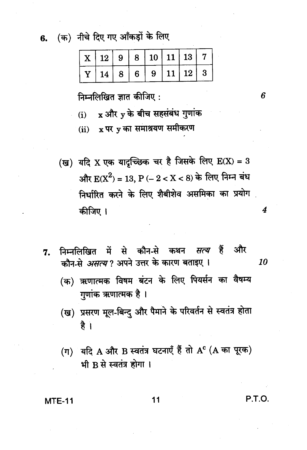(क) नीचे दिए गए आँकड़ों के लिए 6.

| $\mid$ X $\mid$ 12 $\mid$ 9 $\mid$ 8 $\mid$ 10 $\mid$ 11 $\mid$ 13 $\mid$ 7 |  |  |  |
|-----------------------------------------------------------------------------|--|--|--|
| Y   14   8   6   9   11   12   3                                            |  |  |  |

निम्नलिखित ज्ञात कीजिए :

(i) 
$$
x
$$
 और  $y$  के बीच सहसंबंध गुणांक

 $(i)$  x पर y का समाश्रयण समीकरण

(ख) यदि X एक यादृच्छिक चर है जिसके लिए  $E(X) = 3$ और  $E(X^2) = 13$ , P (- 2 < X < 8) के लिए निम्न बंध निर्धारित करने के लिए शैबीशेव असमिका का प्रयोग कीजिए ।

निम्नलिखित में से कौन-से कथन सत्य हैं और 7. कौन-से *असत्य* ? अपने उत्तर के कारण बताइए । 10

(क) ऋणात्मक विषम बंटन के लिए पियर्सन का वैषम्य गुणांक ऋणात्मक है ।

- (ख) प्रसरण मूल-बिन्दु और पैमाने के परिवर्तन से स्वतंत्र होता है ।
- (ग) यदि A और B स्वतंत्र घटनाएँ हैं तो AC (A का पूरक) भी B से स्वतंत्र होगा।

#### **MTE-11**

11

P.T.O.

6